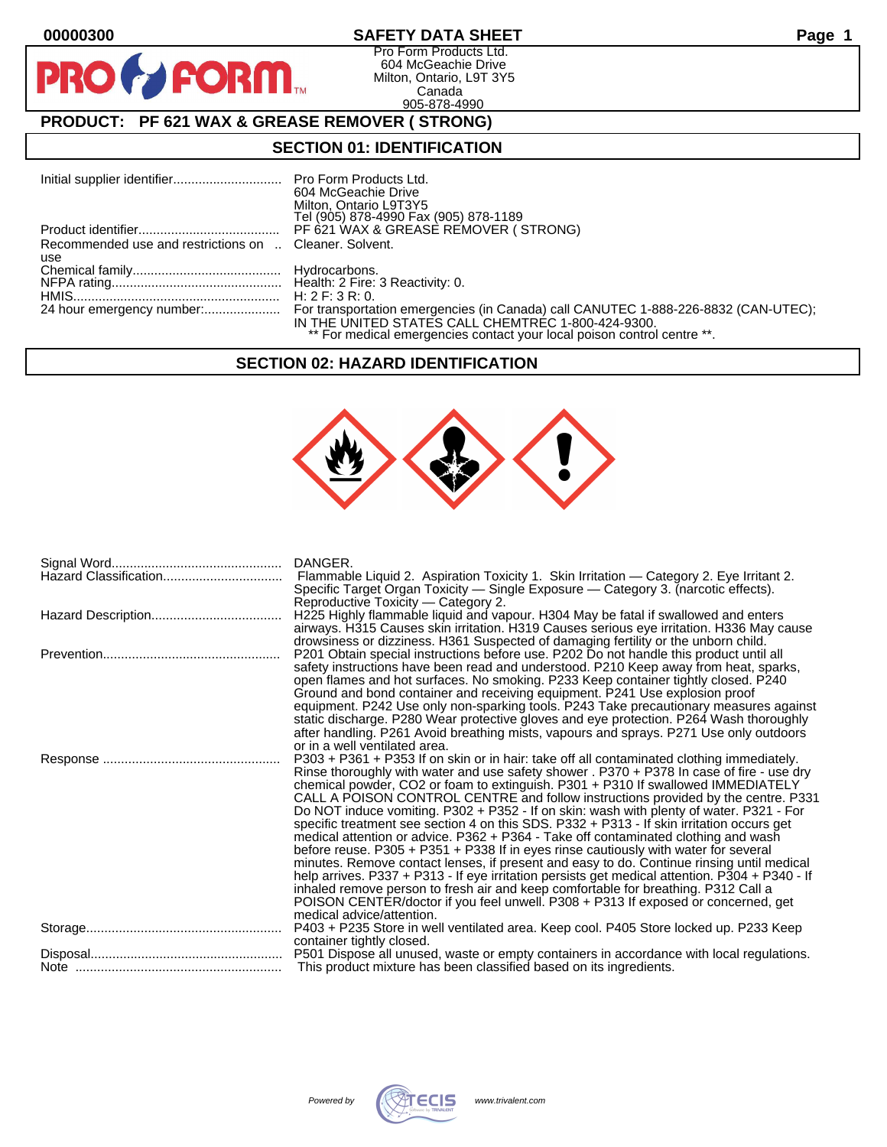$\bullet$ 

PF

# **00000300 SAFETY DATA SHEET Page 1**

Pro Form Products Ltd. 604 McGeachie Drive Milton, Ontario, L9T 3Y5 Canada 905-878-4990

# **PRODUCT: PF 621 WAX & GREASE REMOVER ( STRONG)**

**FORM.** 

## **SECTION 01: IDENTIFICATION**

|                                                        | 604 McGeachie Drive<br>Milton, Ontario L9T3Y5<br>Tel (905) 878-4990 Fax (905) 878-1189                                        |
|--------------------------------------------------------|-------------------------------------------------------------------------------------------------------------------------------|
|                                                        | PF 621 WAX & GREASE REMOVER (STRONG)                                                                                          |
| Recommended use and restrictions on  Cleaner, Solvent. |                                                                                                                               |
| use                                                    |                                                                                                                               |
|                                                        |                                                                                                                               |
|                                                        |                                                                                                                               |
|                                                        |                                                                                                                               |
|                                                        | IN THE UNITED STATES CALL CHEMTREC 1-800-424-9300.<br>** For medical emergencies contact your local poison control centre **. |

## **SECTION 02: HAZARD IDENTIFICATION**



| Hazard Classification | DANGER.<br>Flammable Liquid 2. Aspiration Toxicity 1. Skin Irritation — Category 2. Eye Irritant 2.                                                                                                                                                                                                                                                                                                                                                                                                                                                                                                                                                                                                                                                                                                                                                                                                                                                                                                                                                                                                                                         |
|-----------------------|---------------------------------------------------------------------------------------------------------------------------------------------------------------------------------------------------------------------------------------------------------------------------------------------------------------------------------------------------------------------------------------------------------------------------------------------------------------------------------------------------------------------------------------------------------------------------------------------------------------------------------------------------------------------------------------------------------------------------------------------------------------------------------------------------------------------------------------------------------------------------------------------------------------------------------------------------------------------------------------------------------------------------------------------------------------------------------------------------------------------------------------------|
|                       | Specific Target Organ Toxicity — Single Exposure — Category 3. (narcotic effects).<br>Reproductive Toxicity — Category 2.<br>H225 Highly flammable liquid and vapour. H304 May be fatal if swallowed and enters                                                                                                                                                                                                                                                                                                                                                                                                                                                                                                                                                                                                                                                                                                                                                                                                                                                                                                                             |
|                       | airways. H315 Causes skin irritation. H319 Causes serious eye irritation. H336 May cause<br>drowsiness or dizziness. H361 Suspected of damaging fertility or the unborn child.<br>P201 Obtain special instructions before use. P202 Do not handle this product until all<br>safety instructions have been read and understood. P210 Keep away from heat, sparks,                                                                                                                                                                                                                                                                                                                                                                                                                                                                                                                                                                                                                                                                                                                                                                            |
|                       | open flames and hot surfaces. No smoking. P233 Keep container tightly closed. P240<br>Ground and bond container and receiving equipment. P241 Use explosion proof<br>equipment. P242 Use only non-sparking tools. P243 Take precautionary measures against<br>static discharge. P280 Wear protective gloves and eye protection. P264 Wash thoroughly<br>after handling. P261 Avoid breathing mists, vapours and sprays. P271 Use only outdoors<br>or in a well ventilated area.                                                                                                                                                                                                                                                                                                                                                                                                                                                                                                                                                                                                                                                             |
|                       | P303 + P361 + P353 If on skin or in hair: take off all contaminated clothing immediately.<br>Rinse thoroughly with water and use safety shower . P370 + P378 In case of fire - use dry<br>chemical powder, CO2 or foam to extinguish. P301 + P310 If swallowed IMMEDIATELY<br>CALL A POISON CONTROL CENTRE and follow instructions provided by the centre. P331<br>Do NOT induce vomiting. P302 + P352 - If on skin: wash with plenty of water. P321 - For<br>specific treatment see section 4 on this SDS. P332 + P313 - If skin irritation occurs get<br>medical attention or advice. P362 + P364 - Take off contaminated clothing and wash<br>before reuse. P305 + P351 + P338 If in eyes rinse cautiously with water for several<br>minutes. Remove contact lenses, if present and easy to do. Continue rinsing until medical<br>help arrives. P337 + P313 - If eye irritation persists get medical attention. P304 + P340 - If<br>inhaled remove person to fresh air and keep comfortable for breathing. P312 Call a<br>POISON CENTER/doctor if you feel unwell. P308 + P313 If exposed or concerned, get<br>medical advice/attention. |
|                       | P403 + P235 Store in well ventilated area. Keep cool. P405 Store locked up. P233 Keep<br>container tightly closed.                                                                                                                                                                                                                                                                                                                                                                                                                                                                                                                                                                                                                                                                                                                                                                                                                                                                                                                                                                                                                          |
|                       | P501 Dispose all unused, waste or empty containers in accordance with local regulations.<br>This product mixture has been classified based on its ingredients.                                                                                                                                                                                                                                                                                                                                                                                                                                                                                                                                                                                                                                                                                                                                                                                                                                                                                                                                                                              |

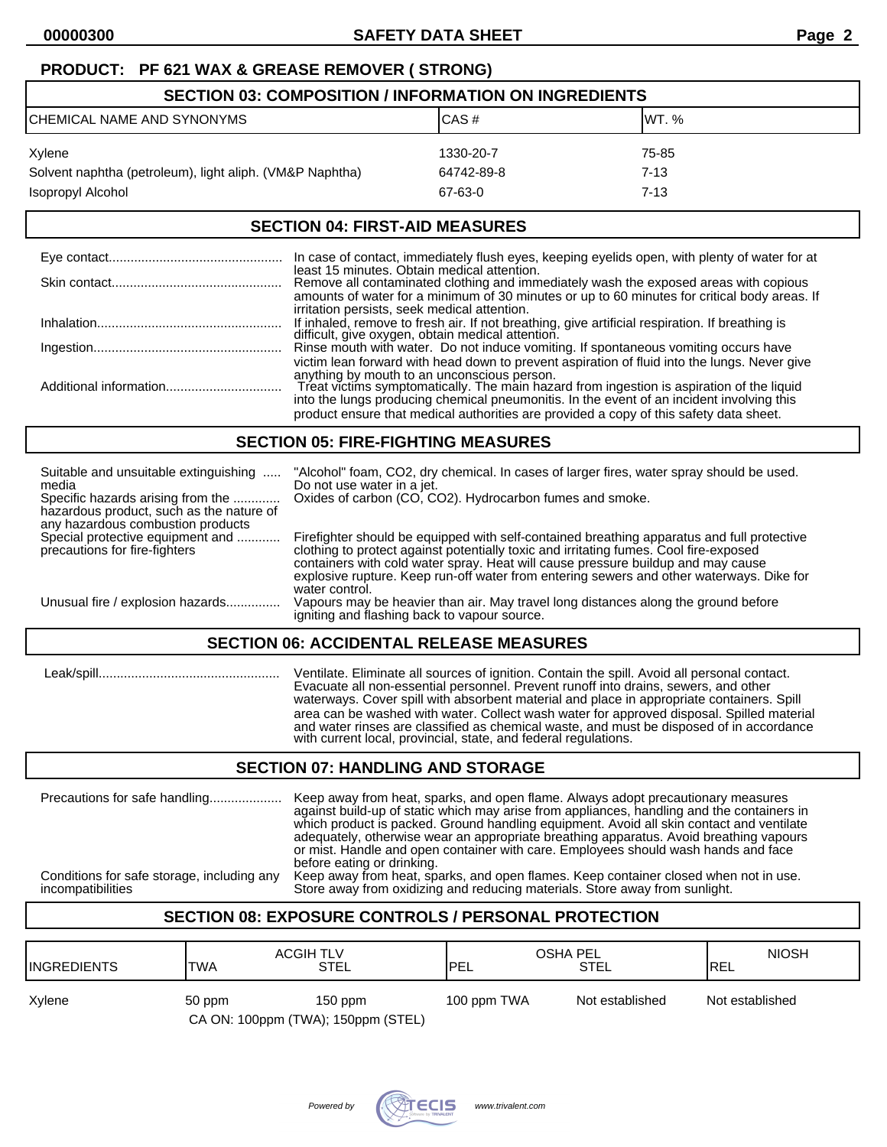# **PRODUCT: PF 621 WAX & GREASE REMOVER ( STRONG)**

| <b>SECTION 03: COMPOSITION / INFORMATION ON INGREDIENTS</b> |            |          |  |
|-------------------------------------------------------------|------------|----------|--|
| ICHEMICAL NAME AND SYNONYMS                                 | CAS#       | IWT. %   |  |
| Xylene                                                      | 1330-20-7  | 75-85    |  |
| Solvent naphtha (petroleum), light aliph. (VM&P Naphtha)    | 64742-89-8 | 7-13     |  |
| Isopropyl Alcohol                                           | 67-63-0    | $7 - 13$ |  |

#### **SECTION 04: FIRST-AID MEASURES**

| In case of contact, immediately flush eyes, keeping eyelids open, with plenty of water for at                                                                                                                                                                                                                                                                                                                                   |
|---------------------------------------------------------------------------------------------------------------------------------------------------------------------------------------------------------------------------------------------------------------------------------------------------------------------------------------------------------------------------------------------------------------------------------|
| least 15 minutes. Obtain medical attention.<br>Remove all contaminated clothing and immediately wash the exposed areas with copious<br>amounts of water for a minimum of 30 minutes or up to 60 minutes for critical body areas. If                                                                                                                                                                                             |
| irritation persists, seek medical attention.<br>If inhaled, remove to fresh air. If not breathing, give artificial respiration. If breathing is<br>difficult, give oxygen, obtain medical attention.                                                                                                                                                                                                                            |
| Rinse mouth with water. Do not induce vomiting. If spontaneous vomiting occurs have                                                                                                                                                                                                                                                                                                                                             |
| victim lean forward with head down to prevent aspiration of fluid into the lungs. Never give<br>anything by mouth to an unconscious person.<br>Treat victims symptomatically. The main hazard from ingestion is aspiration of the liquid<br>into the lungs producing chemical pneumonitis. In the event of an incident involving this<br>product ensure that medical authorities are provided a copy of this safety data sheet. |

#### **SECTION 05: FIRE-FIGHTING MEASURES**

| Suitable and unsuitable extinguishing<br>media                                                                     | "Alcohol" foam, CO2, dry chemical. In cases of larger fires, water spray should be used.<br>Do not use water in a jet.                                                                                                                                                                                                                                                                |  |
|--------------------------------------------------------------------------------------------------------------------|---------------------------------------------------------------------------------------------------------------------------------------------------------------------------------------------------------------------------------------------------------------------------------------------------------------------------------------------------------------------------------------|--|
| Specific hazards arising from the<br>hazardous product, such as the nature of<br>any hazardous combustion products | Oxides of carbon (CO, CO2). Hydrocarbon fumes and smoke.                                                                                                                                                                                                                                                                                                                              |  |
| Special protective equipment and<br>precautions for fire-fighters                                                  | Firefighter should be equipped with self-contained breathing apparatus and full protective<br>clothing to protect against potentially toxic and irritating fumes. Cool fire-exposed<br>containers with cold water spray. Heat will cause pressure buildup and may cause<br>explosive rupture. Keep run-off water from entering sewers and other waterways. Dike for<br>water control. |  |
| Unusual fire / explosion hazards                                                                                   | Vapours may be heavier than air. May travel long distances along the ground before<br>igniting and flashing back to vapour source.                                                                                                                                                                                                                                                    |  |
| <b>SECTION 06: ACCIDENTAL RELEASE MEASURES</b>                                                                     |                                                                                                                                                                                                                                                                                                                                                                                       |  |

 Leak/spill.................................................. Ventilate. Eliminate all sources of ignition. Contain the spill. Avoid all personal contact. Evacuate all non-essential personnel. Prevent runoff into drains, sewers, and other waterways. Cover spill with absorbent material and place in appropriate containers. Spill area can be washed with water. Collect wash water for approved disposal. Spilled material and water rinses are classified as chemical waste, and must be disposed of in accordance with current local, provincial, state, and federal regulations.

# **SECTION 07: HANDLING AND STORAGE**

| or mist. Handle and open container with care. Employees should wash hands and face<br>before eating or drinking. | Conditions for safe storage, including any<br>incompatibilities | which product is packed. Ground handling equipment. Avoid all skin contact and ventilate<br>adequately, otherwise wear an appropriate breathing apparatus. Avoid breathing vapours<br>Keep away from heat, sparks, and open flames. Keep container closed when not in use.<br>Store away from oxidizing and reducing materials. Store away from sunlight. |  |
|------------------------------------------------------------------------------------------------------------------|-----------------------------------------------------------------|-----------------------------------------------------------------------------------------------------------------------------------------------------------------------------------------------------------------------------------------------------------------------------------------------------------------------------------------------------------|--|
|                                                                                                                  |                                                                 |                                                                                                                                                                                                                                                                                                                                                           |  |

# **SECTION 08: EXPOSURE CONTROLS / PERSONAL PROTECTION**

| <b>IINGREDIENTS</b> | <b>ACGIH TLV</b><br><b>TWA</b>               | STEL      | <b>OSHA PEL</b><br><b>IPEL</b> | STEL            | <b>NIOSH</b><br>IREL |
|---------------------|----------------------------------------------|-----------|--------------------------------|-----------------|----------------------|
| Xylene              | 50 ppm<br>CA ON: 100ppm (TWA); 150ppm (STEL) | $150$ ppm | 100 ppm TWA                    | Not established | Not established      |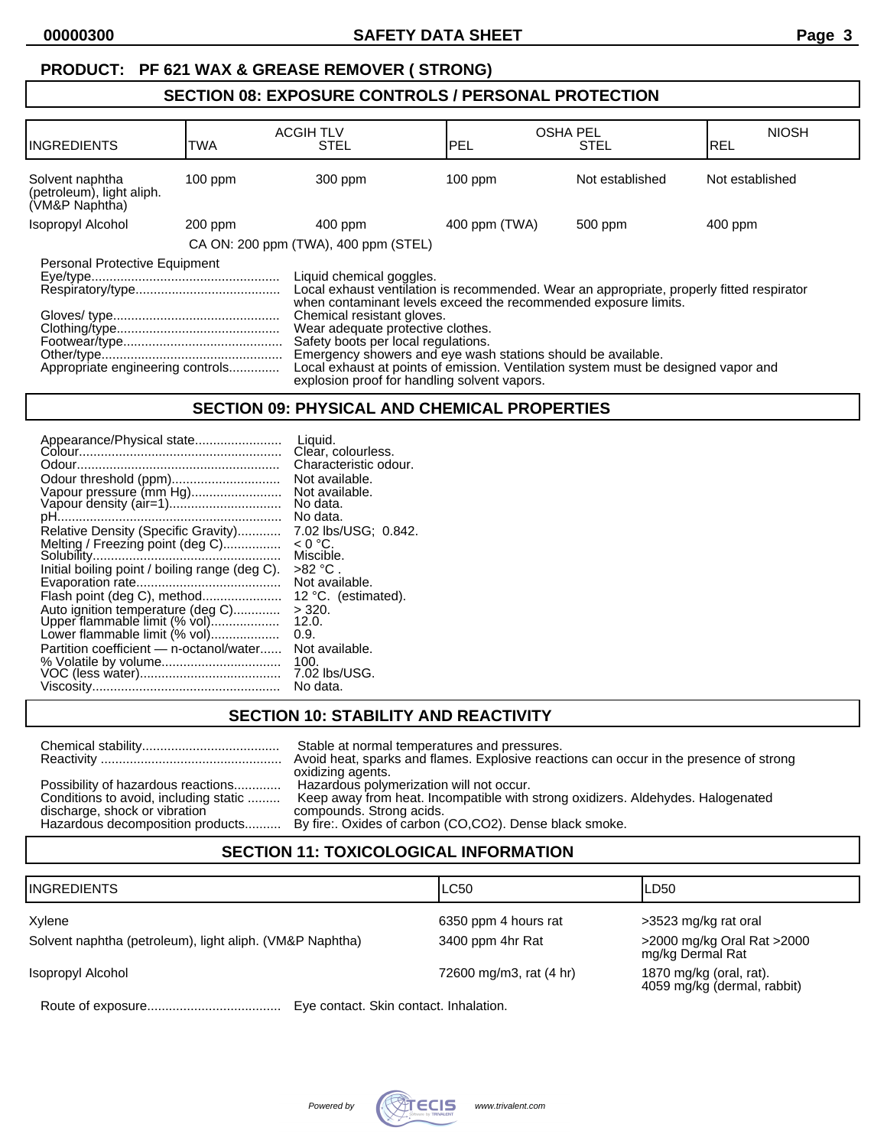# **SECTION 08: EXPOSURE CONTROLS / PERSONAL PROTECTION**

| <b>INGREDIENTS</b>                                                | TWA       | <b>ACGIH TLV</b><br><b>STEL</b>                                                                                                                                                                                                                                                                                                                                                                                                                                                                          | <b>OSHA PEL</b><br>IPEL | <b>STEL</b>     | <b>NIOSH</b><br><b>IREL</b> |
|-------------------------------------------------------------------|-----------|----------------------------------------------------------------------------------------------------------------------------------------------------------------------------------------------------------------------------------------------------------------------------------------------------------------------------------------------------------------------------------------------------------------------------------------------------------------------------------------------------------|-------------------------|-----------------|-----------------------------|
| Solvent naphtha<br>(petroleum), light aliph.<br>(VM&P Naphtha)    | $100$ ppm | 300 ppm                                                                                                                                                                                                                                                                                                                                                                                                                                                                                                  | $100$ ppm               | Not established | Not established             |
| Isopropyl Alcohol                                                 | 200 ppm   | $400$ ppm                                                                                                                                                                                                                                                                                                                                                                                                                                                                                                | 400 ppm (TWA)           | 500 ppm         | 400 ppm                     |
|                                                                   |           | CA ON: 200 ppm (TWA), 400 ppm (STEL)                                                                                                                                                                                                                                                                                                                                                                                                                                                                     |                         |                 |                             |
| Personal Protective Equipment<br>Appropriate engineering controls |           | Liquid chemical goggles.<br>Local exhaust ventilation is recommended. Wear an appropriate, properly fitted respirator<br>when contaminant levels exceed the recommended exposure limits.<br>Chemical resistant gloves.<br>Wear adequate protective clothes.<br>Safety boots per local regulations.<br>Emergency showers and eye wash stations should be available.<br>Local exhaust at points of emission. Ventilation system must be designed vapor and<br>explosion proof for handling solvent vapors. |                         |                 |                             |

#### **SECTION 09: PHYSICAL AND CHEMICAL PROPERTIES**

| Appearance/Physical state<br>Odour threshold (ppm)<br>Vapour pressure (mm Hg)<br>Vapour density (air=1)<br>Relative Density (Specific Gravity)<br>Melting / Freezing point (deg C)<br>Initial boiling point / boiling range (deg C).<br>Flash point (deg C), method<br>Auto ignition temperature (deg C)<br>Upper flammable limit (% vol)<br>Lower flammable limit (% vol)<br>Partition coefficient - n-octanol/water | Liquid.<br>Clear, colourless.<br>Characteristic odour.<br>Not available.<br>Not available.<br>No data.<br>No data.<br>7.02 lbs/USG; 0.842.<br>$< 0 °C$ .<br>Miscible.<br>>82 °C .<br>Not available.<br>12 °C. (estimated).<br>$>$ 320.<br>12.0.<br>0.9.<br>Not available.<br>100. |
|-----------------------------------------------------------------------------------------------------------------------------------------------------------------------------------------------------------------------------------------------------------------------------------------------------------------------------------------------------------------------------------------------------------------------|-----------------------------------------------------------------------------------------------------------------------------------------------------------------------------------------------------------------------------------------------------------------------------------|
|                                                                                                                                                                                                                                                                                                                                                                                                                       | 7.02 lbs/USG.                                                                                                                                                                                                                                                                     |
|                                                                                                                                                                                                                                                                                                                                                                                                                       | No data.                                                                                                                                                                                                                                                                          |

#### **SECTION 10: STABILITY AND REACTIVITY**

|                                                                                                              | Stable at normal temperatures and pressures.<br>Avoid heat, sparks and flames. Explosive reactions can occur in the presence of strong<br>oxidizing agents.                                                                                        |
|--------------------------------------------------------------------------------------------------------------|----------------------------------------------------------------------------------------------------------------------------------------------------------------------------------------------------------------------------------------------------|
| Possibility of hazardous reactions<br>Conditions to avoid, including static<br>discharge, shock or vibration | Hazardous polymerization will not occur.<br>Keep away from heat. Incompatible with strong oxidizers. Aldehydes. Halogenated<br>compounds. Strong acids.<br>Hazardous decomposition products By fire: Oxides of carbon (CO,CO2). Dense black smoke. |

# **SECTION 11: TOXICOLOGICAL INFORMATION**

| <b>INGREDIENTS</b>                                       | LC50                                   | ILD50                                                  |
|----------------------------------------------------------|----------------------------------------|--------------------------------------------------------|
| Xylene                                                   | 6350 ppm 4 hours rat                   | >3523 mg/kg rat oral                                   |
| Solvent naphtha (petroleum), light aliph. (VM&P Naphtha) | 3400 ppm 4hr Rat                       | >2000 mg/kg Oral Rat >2000<br>mg/kg Dermal Rat         |
| Isopropyl Alcohol                                        | 72600 mg/m3, rat (4 hr)                | 1870 mg/kg (oral, rat).<br>4059 mg/kg (dermal, rabbit) |
| Doute of overgours                                       | Eug contact, Clrip contact, Inhalation |                                                        |

Route of exposure..................................... Eye contact. Skin contact. Inhalation.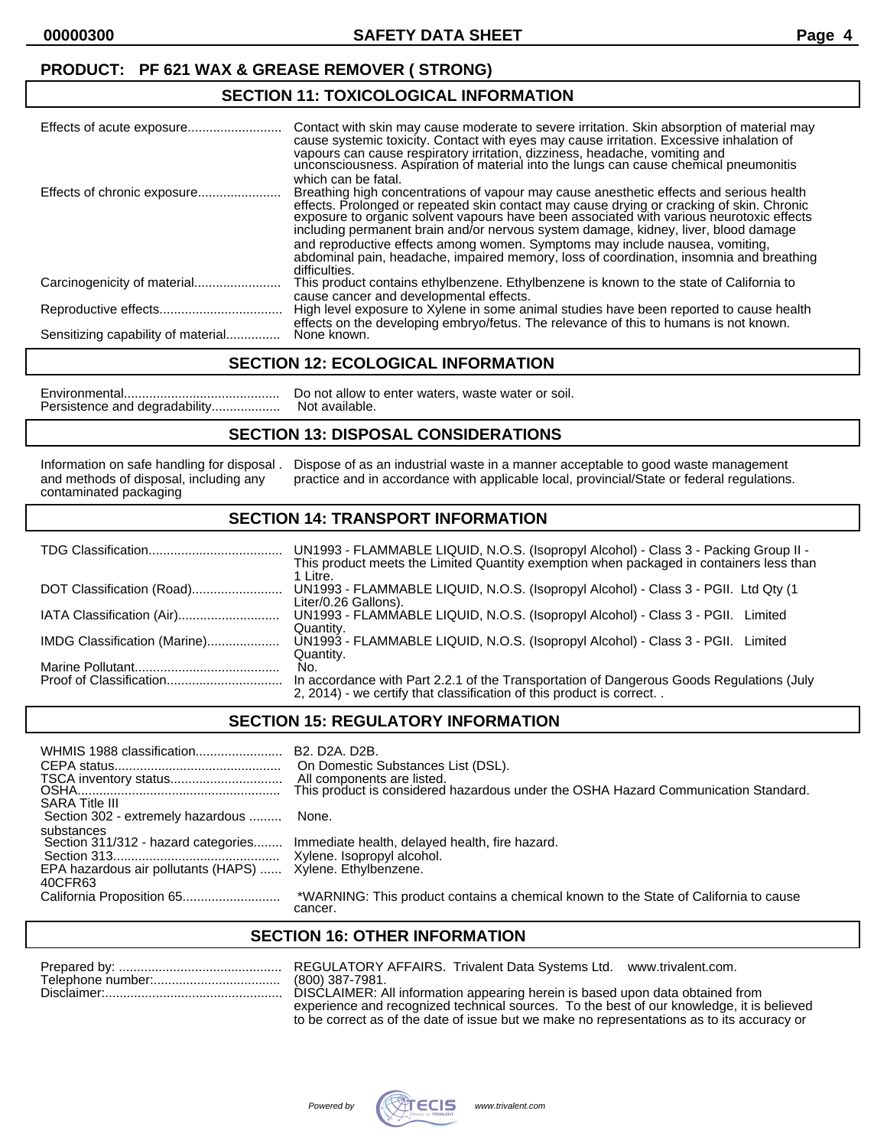#### **SECTION 11: TOXICOLOGICAL INFORMATION**

|                                    | Contact with skin may cause moderate to severe irritation. Skin absorption of material may<br>cause systemic toxicity. Contact with eyes may cause irritation. Excessive inhalation of<br>vapours can cause respiratory irritation, dizziness, headache, vomiting and<br>unconsciousness. Aspiration of material into the lungs can cause chemical pneumonitis<br>which can be fatal.                                                                                                                                                                               |
|------------------------------------|---------------------------------------------------------------------------------------------------------------------------------------------------------------------------------------------------------------------------------------------------------------------------------------------------------------------------------------------------------------------------------------------------------------------------------------------------------------------------------------------------------------------------------------------------------------------|
| Effects of chronic exposure        | Breathing high concentrations of vapour may cause anesthetic effects and serious health<br>effects. Prolonged or repeated skin contact may cause drying or cracking of skin. Chronic<br>exposure to organic solvent vapours have been associated with various neurotoxic effects<br>including permanent brain and/or nervous system damage, kidney, liver, blood damage<br>and reproductive effects among women. Symptoms may include nausea, vomiting,<br>abdominal pain, headache, impaired memory, loss of coordination, insomnia and breathing<br>difficulties. |
|                                    | This product contains ethylbenzene. Ethylbenzene is known to the state of California to                                                                                                                                                                                                                                                                                                                                                                                                                                                                             |
|                                    | cause cancer and developmental effects.<br>High level exposure to Xylene in some animal studies have been reported to cause health                                                                                                                                                                                                                                                                                                                                                                                                                                  |
|                                    | effects on the developing embryo/fetus. The relevance of this to humans is not known.                                                                                                                                                                                                                                                                                                                                                                                                                                                                               |
| Sensitizing capability of material | None known.                                                                                                                                                                                                                                                                                                                                                                                                                                                                                                                                                         |

#### **SECTION 12: ECOLOGICAL INFORMATION**

Environmental........................................... Do not allow to enter waters, waste water or soil. Persistence and degradability...................

#### **SECTION 13: DISPOSAL CONSIDERATIONS**

contaminated packaging

Information on safe handling for disposal . Dispose of as an industrial waste in a manner acceptable to good waste management<br>and methods of disposal, including any practice and in accordance with applicable local, provinc practice and in accordance with applicable local, provincial/State or federal regulations.

#### **SECTION 14: TRANSPORT INFORMATION**

|                              | UN1993 - FLAMMABLE LIQUID, N.O.S. (Isopropyl Alcohol) - Class 3 - Packing Group II -<br>This product meets the Limited Quantity exemption when packaged in containers less than<br>1 Litre. |
|------------------------------|---------------------------------------------------------------------------------------------------------------------------------------------------------------------------------------------|
| DOT Classification (Road)    | UN1993 - FLAMMABLE LIQUID, N.O.S. (Isopropyl Alcohol) - Class 3 - PGII. Ltd Qty (1<br>Liter/0.26 Gallons).                                                                                  |
| IATA Classification (Air)    | UN1993 - FLAMMABLE LIQUID, N.O.S. (Isopropyl Alcohol) - Class 3 - PGII.<br>Limited<br>Quantity.                                                                                             |
| IMDG Classification (Marine) | UN1993 - FLAMMABLE LIQUID, N.O.S. (Isopropyl Alcohol) - Class 3 - PGII.<br>Limited<br>Quantity.                                                                                             |
|                              | No.<br>In accordance with Part 2.2.1 of the Transportation of Dangerous Goods Regulations (July                                                                                             |
|                              | 2, 2014) - we certify that classification of this product is correct                                                                                                                        |

#### **SECTION 15: REGULATORY INFORMATION**

| WHMIS 1988 classification<br><b>SARA Title III</b>                                                  | B <sub>2</sub> . D <sub>2</sub> A. D <sub>2</sub> B.<br>On Domestic Substances List (DSL).<br>All components are listed.<br>This product is considered hazardous under the OSHA Hazard Communication Standard. |
|-----------------------------------------------------------------------------------------------------|----------------------------------------------------------------------------------------------------------------------------------------------------------------------------------------------------------------|
| Section 302 - extremely hazardous                                                                   | None.                                                                                                                                                                                                          |
| substances<br>Section 311/312 - hazard categories<br>EPA hazardous air pollutants (HAPS)<br>40CFR63 | Immediate health, delayed health, fire hazard.<br>Xylene. Ethylbenzene.                                                                                                                                        |
|                                                                                                     | *WARNING: This product contains a chemical known to the State of California to cause<br>cancer.                                                                                                                |

## **SECTION 16: OTHER INFORMATION**

| RF) |
|-----|
|     |
|     |

GULATORY AFFAIRS. Trivalent Data Systems Ltd. www.trivalent.com. 0) 387-7981.  $C$ LAIMER: All information appearing herein is based upon data obtained from experience and recognized technical sources. To the best of our knowledge, it is believed to be correct as of the date of issue but we make no representations as to its accuracy or